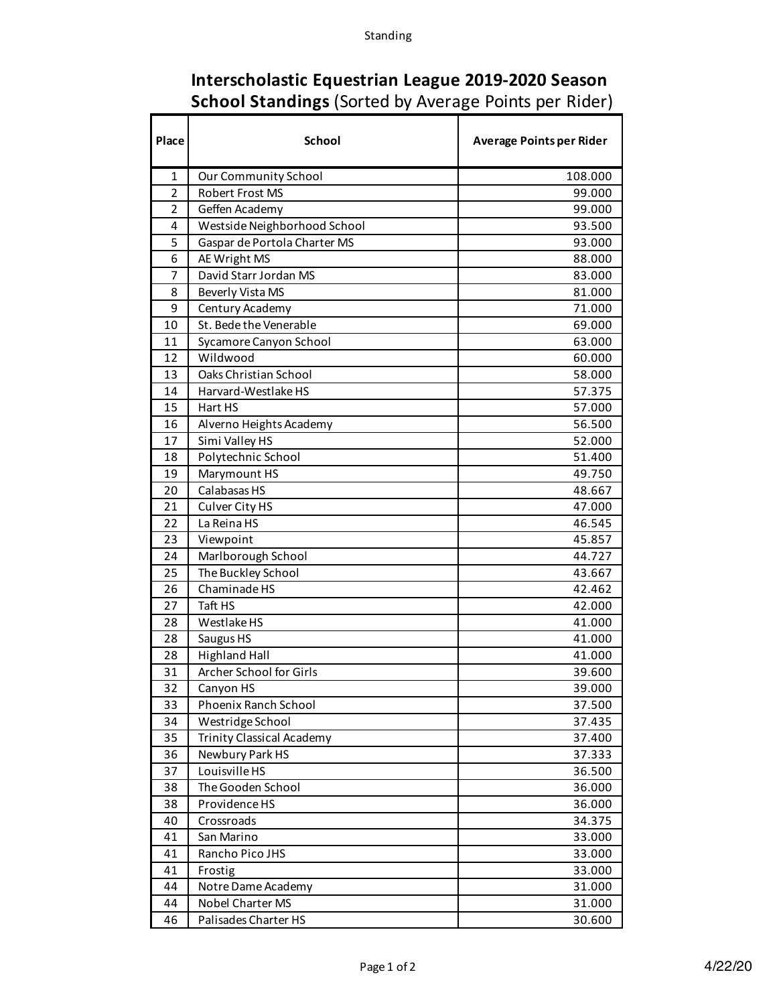| Interscholastic Equestrian League 2019-2020 Season           |
|--------------------------------------------------------------|
| <b>School Standings (Sorted by Average Points per Rider)</b> |

Т

r

┓

┑

| Place          | <b>School</b>                    | <b>Average Points per Rider</b> |
|----------------|----------------------------------|---------------------------------|
| $\mathbf{1}$   | Our Community School             | 108.000                         |
| $\overline{2}$ | <b>Robert Frost MS</b>           | 99.000                          |
| $\overline{2}$ | Geffen Academy                   | 99.000                          |
| 4              | Westside Neighborhood School     | 93.500                          |
| 5              | Gaspar de Portola Charter MS     | 93.000                          |
| 6              | AE Wright MS                     | 88.000                          |
| 7              | David Starr Jordan MS            | 83.000                          |
| 8              | Beverly Vista MS                 | 81.000                          |
| 9              | Century Academy                  | 71.000                          |
| 10             | St. Bede the Venerable           | 69.000                          |
| 11             | Sycamore Canyon School           | 63.000                          |
| 12             | Wildwood                         | 60.000                          |
| 13             | Oaks Christian School            | 58.000                          |
| 14             | Harvard-Westlake HS              | 57.375                          |
| 15             | Hart HS                          | 57.000                          |
| 16             | Alverno Heights Academy          | 56.500                          |
| 17             | Simi Valley HS                   | 52.000                          |
| 18             | Polytechnic School               | 51.400                          |
| 19             | Marymount HS                     | 49.750                          |
| 20             | Calabasas HS                     | 48.667                          |
| 21             | Culver City HS                   | 47.000                          |
| 22             | La Reina HS                      | 46.545                          |
| 23             | Viewpoint                        | 45.857                          |
| 24             | Marlborough School               | 44.727                          |
| 25             | The Buckley School               | 43.667                          |
| 26             | Chaminade HS                     | 42.462                          |
| 27             | Taft HS                          | 42.000                          |
| 28             | Westlake HS                      | 41.000                          |
| 28             | Saugus HS                        | 41.000                          |
| 28             | <b>Highland Hall</b>             | 41.000                          |
| 31             | Archer School for Girls          | 39.600                          |
| 32             | Canyon HS                        | 39.000                          |
| 33             | Phoenix Ranch School             | 37.500                          |
| 34             | Westridge School                 | 37.435                          |
| 35             | <b>Trinity Classical Academy</b> | 37.400                          |
| 36             | Newbury Park HS                  | 37.333                          |
| 37             | Louisville HS                    | 36.500                          |
| 38             | The Gooden School                | 36.000                          |
| 38             | Providence HS                    | 36.000                          |
| 40             | Crossroads                       | 34.375                          |
| 41             | San Marino                       | 33.000                          |
| 41             | Rancho Pico JHS                  | 33.000                          |
| 41             | Frostig                          | 33.000                          |
| 44             | Notre Dame Academy               | 31.000                          |
| 44             | Nobel Charter MS                 | 31.000                          |
| 46             | Palisades Charter HS             | 30.600                          |